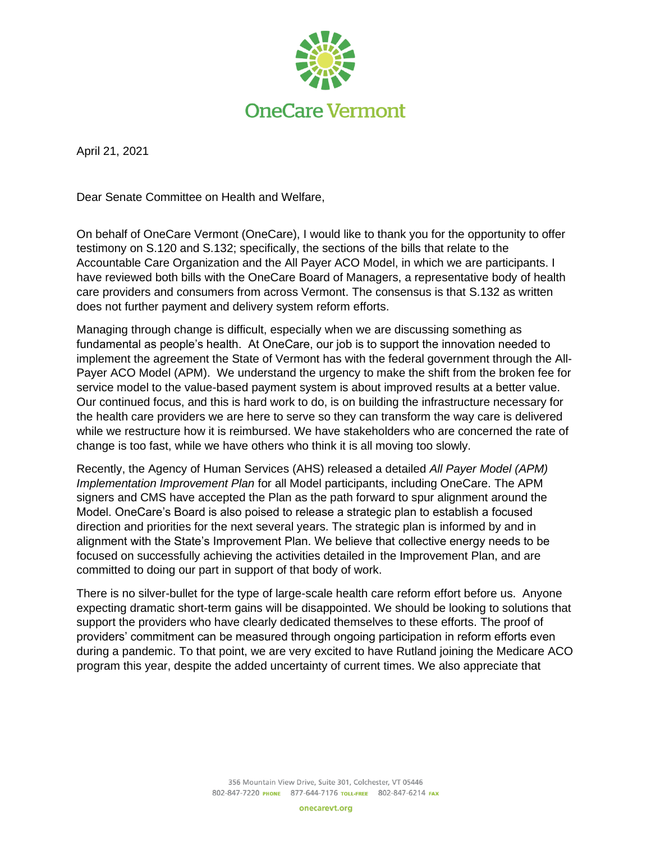

April 21, 2021

Dear Senate Committee on Health and Welfare,

On behalf of OneCare Vermont (OneCare), I would like to thank you for the opportunity to offer testimony on S.120 and S.132; specifically, the sections of the bills that relate to the Accountable Care Organization and the All Payer ACO Model, in which we are participants. I have reviewed both bills with the OneCare Board of Managers, a representative body of health care providers and consumers from across Vermont. The consensus is that S.132 as written does not further payment and delivery system reform efforts.

Managing through change is difficult, especially when we are discussing something as fundamental as people's health. At OneCare, our job is to support the innovation needed to implement the agreement the State of Vermont has with the federal government through the All-Payer ACO Model (APM). We understand the urgency to make the shift from the broken fee for service model to the value-based payment system is about improved results at a better value. Our continued focus, and this is hard work to do, is on building the infrastructure necessary for the health care providers we are here to serve so they can transform the way care is delivered while we restructure how it is reimbursed. We have stakeholders who are concerned the rate of change is too fast, while we have others who think it is all moving too slowly.

Recently, the Agency of Human Services (AHS) released a detailed *All Payer Model (APM) Implementation Improvement Plan* for all Model participants, including OneCare. The APM signers and CMS have accepted the Plan as the path forward to spur alignment around the Model. OneCare's Board is also poised to release a strategic plan to establish a focused direction and priorities for the next several years. The strategic plan is informed by and in alignment with the State's Improvement Plan. We believe that collective energy needs to be focused on successfully achieving the activities detailed in the Improvement Plan, and are committed to doing our part in support of that body of work.

There is no silver-bullet for the type of large-scale health care reform effort before us. Anyone expecting dramatic short-term gains will be disappointed. We should be looking to solutions that support the providers who have clearly dedicated themselves to these efforts. The proof of providers' commitment can be measured through ongoing participation in reform efforts even during a pandemic. To that point, we are very excited to have Rutland joining the Medicare ACO program this year, despite the added uncertainty of current times. We also appreciate that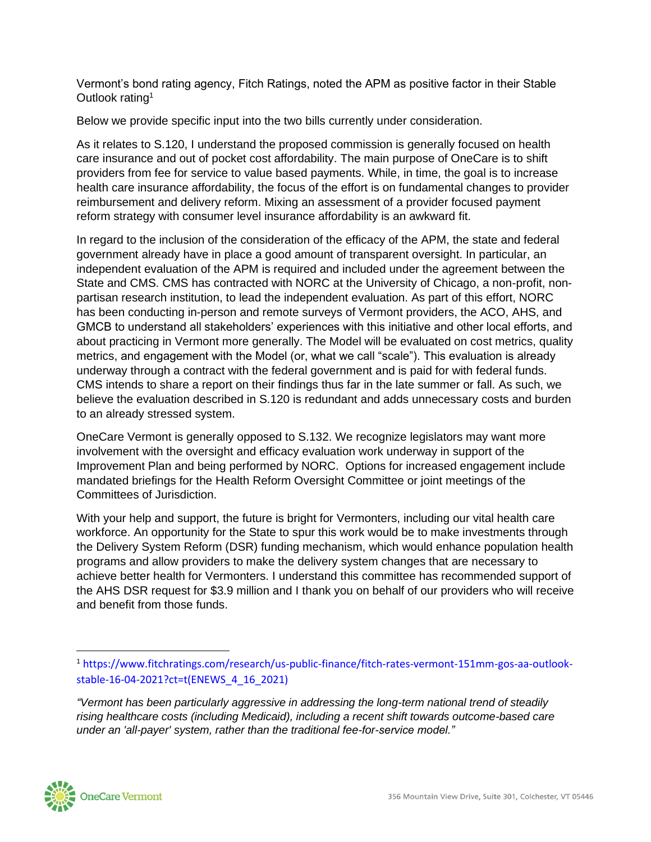Vermont's bond rating agency, Fitch Ratings, noted the APM as positive factor in their Stable Outlook rating<sup>1</sup>

Below we provide specific input into the two bills currently under consideration.

As it relates to S.120, I understand the proposed commission is generally focused on health care insurance and out of pocket cost affordability. The main purpose of OneCare is to shift providers from fee for service to value based payments. While, in time, the goal is to increase health care insurance affordability, the focus of the effort is on fundamental changes to provider reimbursement and delivery reform. Mixing an assessment of a provider focused payment reform strategy with consumer level insurance affordability is an awkward fit.

In regard to the inclusion of the consideration of the efficacy of the APM, the state and federal government already have in place a good amount of transparent oversight. In particular, an independent evaluation of the APM is required and included under the agreement between the State and CMS. CMS has contracted with NORC at the University of Chicago, a non-profit, nonpartisan research institution, to lead the independent evaluation. As part of this effort, NORC has been conducting in-person and remote surveys of Vermont providers, the ACO, AHS, and GMCB to understand all stakeholders' experiences with this initiative and other local efforts, and about practicing in Vermont more generally. The Model will be evaluated on cost metrics, quality metrics, and engagement with the Model (or, what we call "scale"). This evaluation is already underway through a contract with the federal government and is paid for with federal funds. CMS intends to share a report on their findings thus far in the late summer or fall. As such, we believe the evaluation described in S.120 is redundant and adds unnecessary costs and burden to an already stressed system.

OneCare Vermont is generally opposed to S.132. We recognize legislators may want more involvement with the oversight and efficacy evaluation work underway in support of the Improvement Plan and being performed by NORC. Options for increased engagement include mandated briefings for the Health Reform Oversight Committee or joint meetings of the Committees of Jurisdiction.

With your help and support, the future is bright for Vermonters, including our vital health care workforce. An opportunity for the State to spur this work would be to make investments through the Delivery System Reform (DSR) funding mechanism, which would enhance population health programs and allow providers to make the delivery system changes that are necessary to achieve better health for Vermonters. I understand this committee has recommended support of the AHS DSR request for \$3.9 million and I thank you on behalf of our providers who will receive and benefit from those funds.

*<sup>&</sup>quot;Vermont has been particularly aggressive in addressing the long-term national trend of steadily rising healthcare costs (including Medicaid), including a recent shift towards outcome-based care under an 'all-payer' system, rather than the traditional fee-for-service model."*



<sup>1</sup> [https://www.fitchratings.com/research/us-public-finance/fitch-rates-vermont-151mm-gos-aa-outlook](https://www.fitchratings.com/research/us-public-finance/fitch-rates-vermont-151mm-gos-aa-outlook-stable-16-04-2021?ct=t(ENEWS_4_16_2021))[stable-16-04-2021?ct=t\(ENEWS\\_4\\_16\\_2021\)](https://www.fitchratings.com/research/us-public-finance/fitch-rates-vermont-151mm-gos-aa-outlook-stable-16-04-2021?ct=t(ENEWS_4_16_2021))